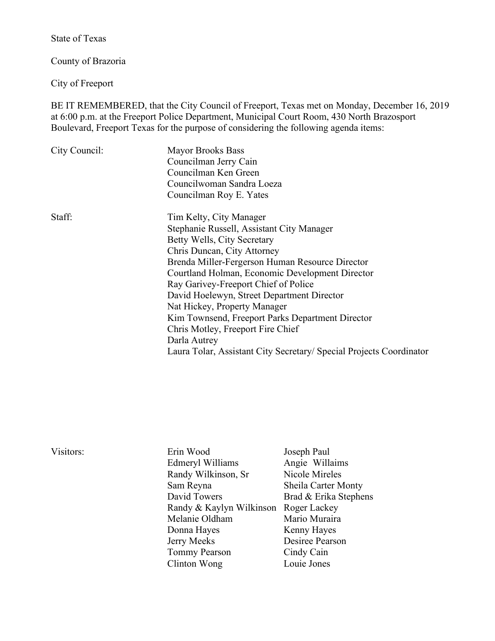State of Texas

County of Brazoria

City of Freeport

Visitors:

BE IT REMEMBERED, that the City Council of Freeport, Texas met on Monday, December 16, 2019 at 6:00 p.m. at the Freeport Police Department, Municipal Court Room, 430 North Brazosport Boulevard, Freeport Texas for the purpose of considering the following agenda items:

| City Council: | <b>Mayor Brooks Bass</b><br>Councilman Jerry Cain<br>Councilman Ken Green                                                                                                                                                                                                                                                                                                                                                                               |  |
|---------------|---------------------------------------------------------------------------------------------------------------------------------------------------------------------------------------------------------------------------------------------------------------------------------------------------------------------------------------------------------------------------------------------------------------------------------------------------------|--|
|               | Councilwoman Sandra Loeza<br>Councilman Roy E. Yates                                                                                                                                                                                                                                                                                                                                                                                                    |  |
| Staff:        | Tim Kelty, City Manager<br>Stephanie Russell, Assistant City Manager<br>Betty Wells, City Secretary<br>Chris Duncan, City Attorney<br>Brenda Miller-Fergerson Human Resource Director<br>Courtland Holman, Economic Development Director<br>Ray Garivey-Freeport Chief of Police<br>David Hoelewyn, Street Department Director<br>Nat Hickey, Property Manager<br>Kim Townsend, Freeport Parks Department Director<br>Chris Motley, Freeport Fire Chief |  |
|               | Darla Autrey<br>Laura Tolar, Assistant City Secretary/ Special Projects Coordinator                                                                                                                                                                                                                                                                                                                                                                     |  |

| Erin Wood                             | Joseph Paul           |
|---------------------------------------|-----------------------|
| Edmeryl Williams                      | Angie Willaims        |
| Randy Wilkinson, Sr                   | Nicole Mireles        |
| Sam Reyna                             | Sheila Carter Monty   |
| David Towers                          | Brad & Erika Stephens |
| Randy & Kaylyn Wilkinson Roger Lackey |                       |
| Melanie Oldham                        | Mario Muraira         |
| Donna Hayes                           | Kenny Hayes           |
| Jerry Meeks                           | Desiree Pearson       |
| <b>Tommy Pearson</b>                  | Cindy Cain            |
| Clinton Wong                          | Louie Jones           |
|                                       |                       |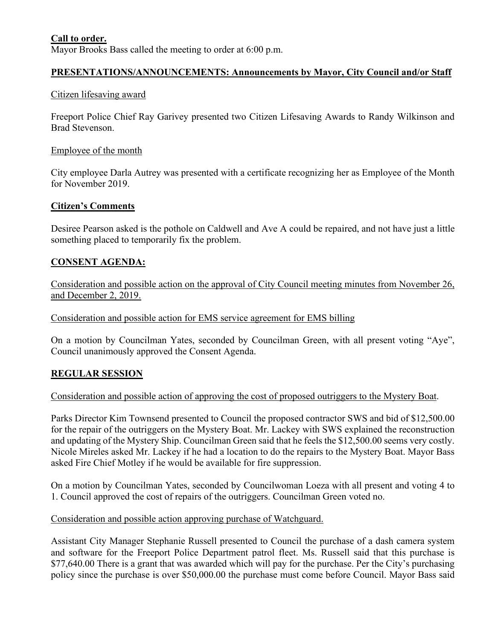## **Call to order.**

Mayor Brooks Bass called the meeting to order at 6:00 p.m.

# **PRESENTATIONS/ANNOUNCEMENTS: Announcements by Mayor, City Council and/or Staff**

#### Citizen lifesaving award

Freeport Police Chief Ray Garivey presented two Citizen Lifesaving Awards to Randy Wilkinson and Brad Stevenson.

#### Employee of the month

City employee Darla Autrey was presented with a certificate recognizing her as Employee of the Month for November 2019.

#### **Citizen's Comments**

Desiree Pearson asked is the pothole on Caldwell and Ave A could be repaired, and not have just a little something placed to temporarily fix the problem.

### **CONSENT AGENDA:**

Consideration and possible action on the approval of City Council meeting minutes from November 26, and December 2, 2019.

Consideration and possible action for EMS service agreement for EMS billing

On a motion by Councilman Yates, seconded by Councilman Green, with all present voting "Aye", Council unanimously approved the Consent Agenda.

## **REGULAR SESSION**

#### Consideration and possible action of approving the cost of proposed outriggers to the Mystery Boat.

Parks Director Kim Townsend presented to Council the proposed contractor SWS and bid of \$12,500.00 for the repair of the outriggers on the Mystery Boat. Mr. Lackey with SWS explained the reconstruction and updating of the Mystery Ship. Councilman Green said that he feels the \$12,500.00 seems very costly. Nicole Mireles asked Mr. Lackey if he had a location to do the repairs to the Mystery Boat. Mayor Bass asked Fire Chief Motley if he would be available for fire suppression.

On a motion by Councilman Yates, seconded by Councilwoman Loeza with all present and voting 4 to 1. Council approved the cost of repairs of the outriggers. Councilman Green voted no.

#### Consideration and possible action approving purchase of Watchguard.

Assistant City Manager Stephanie Russell presented to Council the purchase of a dash camera system and software for the Freeport Police Department patrol fleet. Ms. Russell said that this purchase is \$77,640.00 There is a grant that was awarded which will pay for the purchase. Per the City's purchasing policy since the purchase is over \$50,000.00 the purchase must come before Council. Mayor Bass said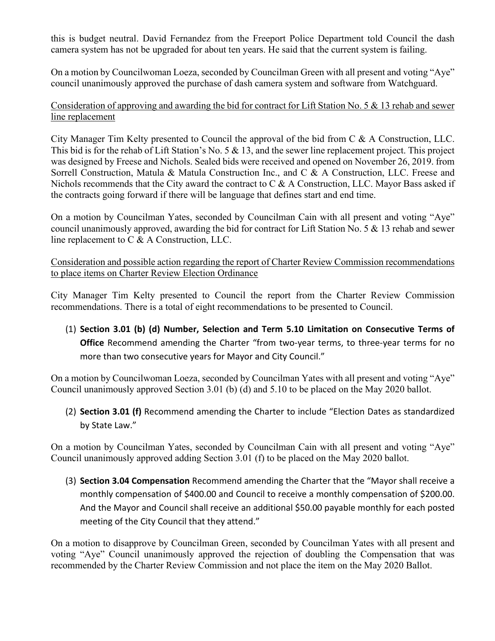this is budget neutral. David Fernandez from the Freeport Police Department told Council the dash camera system has not be upgraded for about ten years. He said that the current system is failing.

On a motion by Councilwoman Loeza, seconded by Councilman Green with all present and voting "Aye" council unanimously approved the purchase of dash camera system and software from Watchguard.

## Consideration of approving and awarding the bid for contract for Lift Station No. 5 & 13 rehab and sewer line replacement

City Manager Tim Kelty presented to Council the approval of the bid from C & A Construction, LLC. This bid is for the rehab of Lift Station's No. 5 & 13, and the sewer line replacement project. This project was designed by Freese and Nichols. Sealed bids were received and opened on November 26, 2019. from Sorrell Construction, Matula & Matula Construction Inc., and C & A Construction, LLC. Freese and Nichols recommends that the City award the contract to  $C \& A$  Construction, LLC. Mayor Bass asked if the contracts going forward if there will be language that defines start and end time.

On a motion by Councilman Yates, seconded by Councilman Cain with all present and voting "Aye" council unanimously approved, awarding the bid for contract for Lift Station No. 5  $\&$  13 rehab and sewer line replacement to C & A Construction, LLC.

Consideration and possible action regarding the report of Charter Review Commission recommendations to place items on Charter Review Election Ordinance

City Manager Tim Kelty presented to Council the report from the Charter Review Commission recommendations. There is a total of eight recommendations to be presented to Council.

(1) **Section 3.01 (b) (d) Number, Selection and Term 5.10 Limitation on Consecutive Terms of Office** Recommend amending the Charter "from two-year terms, to three-year terms for no more than two consecutive years for Mayor and City Council."

On a motion by Councilwoman Loeza, seconded by Councilman Yates with all present and voting "Aye" Council unanimously approved Section 3.01 (b) (d) and 5.10 to be placed on the May 2020 ballot.

(2) **Section 3.01 (f)** Recommend amending the Charter to include "Election Dates as standardized by State Law."

On a motion by Councilman Yates, seconded by Councilman Cain with all present and voting "Aye" Council unanimously approved adding Section 3.01 (f) to be placed on the May 2020 ballot.

(3) **Section 3.04 Compensation** Recommend amending the Charter that the "Mayor shall receive a monthly compensation of \$400.00 and Council to receive a monthly compensation of \$200.00. And the Mayor and Council shall receive an additional \$50.00 payable monthly for each posted meeting of the City Council that they attend."

On a motion to disapprove by Councilman Green, seconded by Councilman Yates with all present and voting "Aye" Council unanimously approved the rejection of doubling the Compensation that was recommended by the Charter Review Commission and not place the item on the May 2020 Ballot.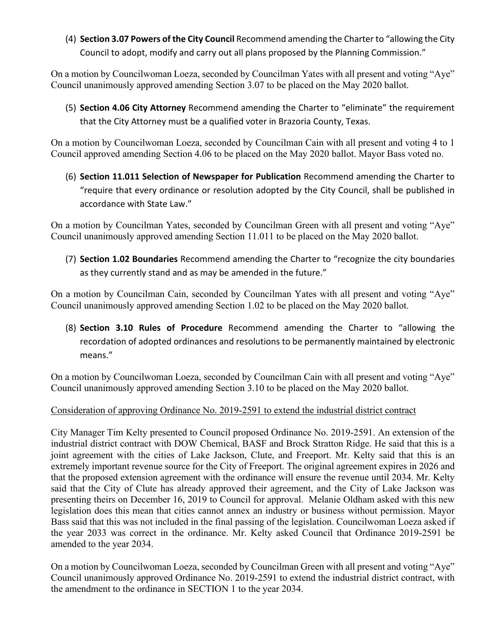(4) **Section 3.07 Powers of the City Council** Recommend amending the Charter to "allowing the City Council to adopt, modify and carry out all plans proposed by the Planning Commission."

On a motion by Councilwoman Loeza, seconded by Councilman Yates with all present and voting "Aye" Council unanimously approved amending Section 3.07 to be placed on the May 2020 ballot.

(5) **Section 4.06 City Attorney** Recommend amending the Charter to "eliminate" the requirement that the City Attorney must be a qualified voter in Brazoria County, Texas.

On a motion by Councilwoman Loeza, seconded by Councilman Cain with all present and voting 4 to 1 Council approved amending Section 4.06 to be placed on the May 2020 ballot. Mayor Bass voted no.

(6) **Section 11.011 Selection of Newspaper for Publication** Recommend amending the Charter to "require that every ordinance or resolution adopted by the City Council, shall be published in accordance with State Law."

On a motion by Councilman Yates, seconded by Councilman Green with all present and voting "Aye" Council unanimously approved amending Section 11.011 to be placed on the May 2020 ballot.

(7) **Section 1.02 Boundaries** Recommend amending the Charter to "recognize the city boundaries as they currently stand and as may be amended in the future."

On a motion by Councilman Cain, seconded by Councilman Yates with all present and voting "Aye" Council unanimously approved amending Section 1.02 to be placed on the May 2020 ballot.

(8) **Section 3.10 Rules of Procedure** Recommend amending the Charter to "allowing the recordation of adopted ordinances and resolutions to be permanently maintained by electronic means."

On a motion by Councilwoman Loeza, seconded by Councilman Cain with all present and voting "Aye" Council unanimously approved amending Section 3.10 to be placed on the May 2020 ballot.

## Consideration of approving Ordinance No. 2019-2591 to extend the industrial district contract

City Manager Tim Kelty presented to Council proposed Ordinance No. 2019-2591. An extension of the industrial district contract with DOW Chemical, BASF and Brock Stratton Ridge. He said that this is a joint agreement with the cities of Lake Jackson, Clute, and Freeport. Mr. Kelty said that this is an extremely important revenue source for the City of Freeport. The original agreement expires in 2026 and that the proposed extension agreement with the ordinance will ensure the revenue until 2034. Mr. Kelty said that the City of Clute has already approved their agreement, and the City of Lake Jackson was presenting theirs on December 16, 2019 to Council for approval. Melanie Oldham asked with this new legislation does this mean that cities cannot annex an industry or business without permission. Mayor Bass said that this was not included in the final passing of the legislation. Councilwoman Loeza asked if the year 2033 was correct in the ordinance. Mr. Kelty asked Council that Ordinance 2019-2591 be amended to the year 2034.

On a motion by Councilwoman Loeza, seconded by Councilman Green with all present and voting "Aye" Council unanimously approved Ordinance No. 2019-2591 to extend the industrial district contract, with the amendment to the ordinance in SECTION 1 to the year 2034.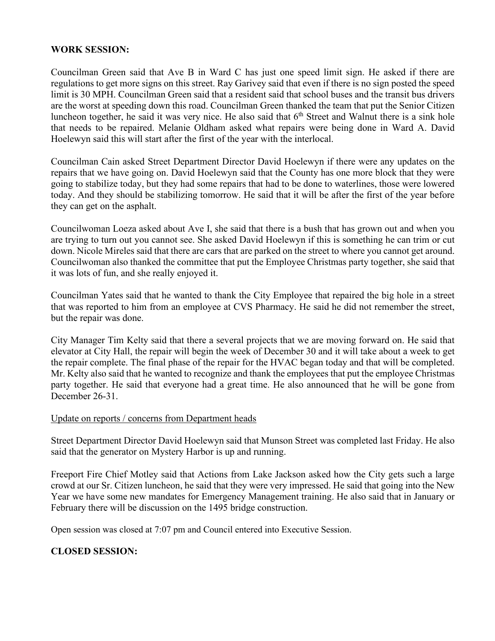### **WORK SESSION:**

Councilman Green said that Ave B in Ward C has just one speed limit sign. He asked if there are regulations to get more signs on this street. Ray Garivey said that even if there is no sign posted the speed limit is 30 MPH. Councilman Green said that a resident said that school buses and the transit bus drivers are the worst at speeding down this road. Councilman Green thanked the team that put the Senior Citizen luncheon together, he said it was very nice. He also said that  $6<sup>th</sup>$  Street and Walnut there is a sink hole that needs to be repaired. Melanie Oldham asked what repairs were being done in Ward A. David Hoelewyn said this will start after the first of the year with the interlocal.

Councilman Cain asked Street Department Director David Hoelewyn if there were any updates on the repairs that we have going on. David Hoelewyn said that the County has one more block that they were going to stabilize today, but they had some repairs that had to be done to waterlines, those were lowered today. And they should be stabilizing tomorrow. He said that it will be after the first of the year before they can get on the asphalt.

Councilwoman Loeza asked about Ave I, she said that there is a bush that has grown out and when you are trying to turn out you cannot see. She asked David Hoelewyn if this is something he can trim or cut down. Nicole Mireles said that there are cars that are parked on the street to where you cannot get around. Councilwoman also thanked the committee that put the Employee Christmas party together, she said that it was lots of fun, and she really enjoyed it.

Councilman Yates said that he wanted to thank the City Employee that repaired the big hole in a street that was reported to him from an employee at CVS Pharmacy. He said he did not remember the street, but the repair was done.

City Manager Tim Kelty said that there a several projects that we are moving forward on. He said that elevator at City Hall, the repair will begin the week of December 30 and it will take about a week to get the repair complete. The final phase of the repair for the HVAC began today and that will be completed. Mr. Kelty also said that he wanted to recognize and thank the employees that put the employee Christmas party together. He said that everyone had a great time. He also announced that he will be gone from December 26-31.

#### Update on reports / concerns from Department heads

Street Department Director David Hoelewyn said that Munson Street was completed last Friday. He also said that the generator on Mystery Harbor is up and running.

Freeport Fire Chief Motley said that Actions from Lake Jackson asked how the City gets such a large crowd at our Sr. Citizen luncheon, he said that they were very impressed. He said that going into the New Year we have some new mandates for Emergency Management training. He also said that in January or February there will be discussion on the 1495 bridge construction.

Open session was closed at 7:07 pm and Council entered into Executive Session.

## **CLOSED SESSION:**